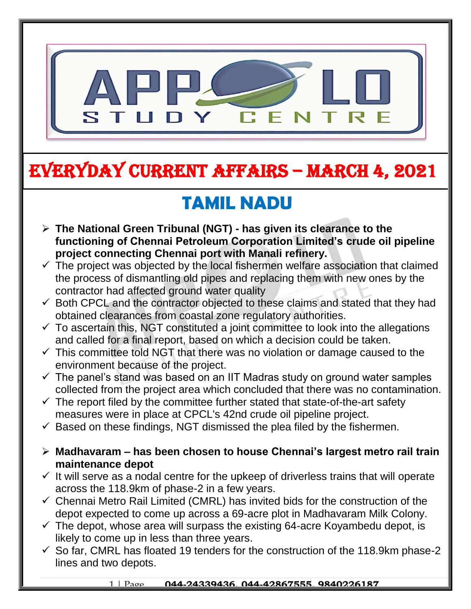

# EVERYDAY CURRENT AFFAIRS – MARCH 4, 2021

-

# **TAMIL NADU**

- **The National Green Tribunal (NGT) - has given its clearance to the functioning of Chennai Petroleum Corporation Limited's crude oil pipeline project connecting Chennai port with Manali refinery.**
- $\checkmark$  The project was objected by the local fishermen welfare association that claimed the process of dismantling old pipes and replacing them with new ones by the contractor had affected ground water quality
- $\checkmark$  Both CPCL and the contractor objected to these claims and stated that they had obtained clearances from coastal zone regulatory authorities.
- $\checkmark$  To ascertain this, NGT constituted a joint committee to look into the allegations and called for a final report, based on which a decision could be taken.
- $\checkmark$  This committee told NGT that there was no violation or damage caused to the environment because of the project.
- $\checkmark$  The panel's stand was based on an IIT Madras study on ground water samples collected from the project area which concluded that there was no contamination.
- $\checkmark$  The report filed by the committee further stated that state-of-the-art safety measures were in place at CPCL's 42nd crude oil pipeline project.
- $\checkmark$  Based on these findings, NGT dismissed the plea filed by the fishermen.
- **Madhavaram – has been chosen to house Chennai's largest metro rail train maintenance depot**
- $\checkmark$  It will serve as a nodal centre for the upkeep of driverless trains that will operate across the 118.9km of phase-2 in a few years.
- $\checkmark$  Chennai Metro Rail Limited (CMRL) has invited bids for the construction of the depot expected to come up across a 69-acre plot in Madhavaram Milk Colony.
- $\checkmark$  The depot, whose area will surpass the existing 64-acre Koyambedu depot, is likely to come up in less than three years.
- $\checkmark$  So far, CMRL has floated 19 tenders for the construction of the 118.9km phase-2 lines and two depots.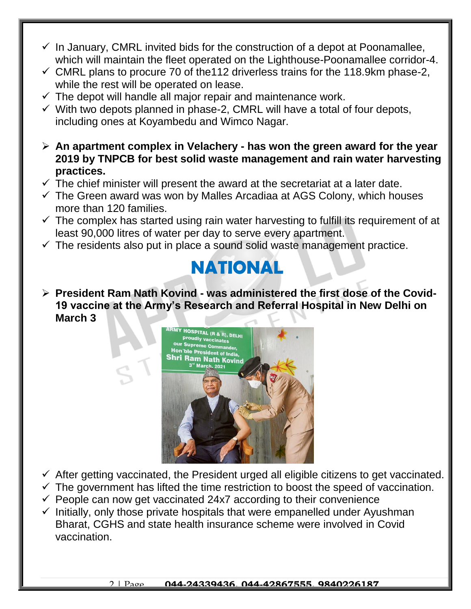- $\checkmark$  In January, CMRL invited bids for the construction of a depot at Poonamallee, which will maintain the fleet operated on the Lighthouse-Poonamallee corridor-4.
- $\checkmark$  CMRL plans to procure 70 of the 112 driverless trains for the 118.9km phase-2, while the rest will be operated on lease.
- $\checkmark$  The depot will handle all major repair and maintenance work.
- $\checkmark$  With two depots planned in phase-2, CMRL will have a total of four depots, including ones at Koyambedu and Wimco Nagar.
- **An apartment complex in Velachery - has won the green award for the year 2019 by TNPCB for best solid waste management and rain water harvesting practices.**
- $\checkmark$  The chief minister will present the award at the secretariat at a later date.
- $\checkmark$  The Green award was won by Malles Arcadiaa at AGS Colony, which houses more than 120 families.
- $\checkmark$  The complex has started using rain water harvesting to fulfill its requirement of at least 90,000 litres of water per day to serve every apartment.
- $\checkmark$  The residents also put in place a sound solid waste management practice.

### **NATIONAL**

 **President Ram Nath Kovind - was administered the first dose of the Covid-19 vaccine at the Army's Research and Referral Hospital in New Delhi on March 3**



- $\checkmark$  After getting vaccinated, the President urged all eligible citizens to get vaccinated.
- $\checkmark$  The government has lifted the time restriction to boost the speed of vaccination.
- $\checkmark$  People can now get vaccinated 24x7 according to their convenience
- $\checkmark$  Initially, only those private hospitals that were empanelled under Ayushman Bharat, CGHS and state health insurance scheme were involved in Covid vaccination.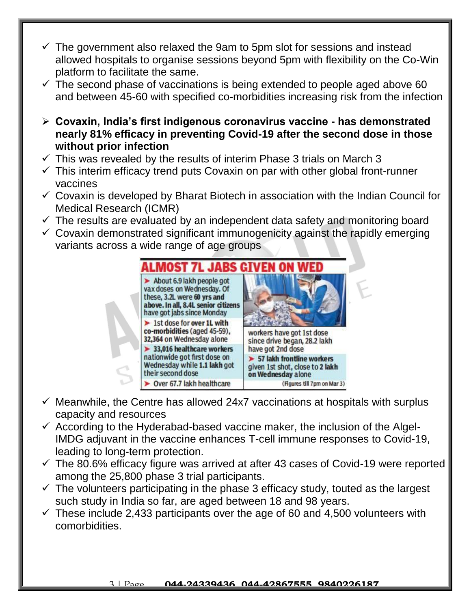- $\checkmark$  The government also relaxed the 9am to 5pm slot for sessions and instead allowed hospitals to organise sessions beyond 5pm with flexibility on the Co-Win platform to facilitate the same.
- $\checkmark$  The second phase of vaccinations is being extended to people aged above 60 and between 45-60 with specified co-morbidities increasing risk from the infection
- **Covaxin, India's first indigenous coronavirus vaccine - has demonstrated nearly 81% efficacy in preventing Covid-19 after the second dose in those without prior infection**
- $\checkmark$  This was revealed by the results of interim Phase 3 trials on March 3
- $\checkmark$  This interim efficacy trend puts Covaxin on par with other global front-runner vaccines
- $\checkmark$  Covaxin is developed by Bharat Biotech in association with the Indian Council for Medical Research (ICMR)
- $\checkmark$  The results are evaluated by an independent data safety and monitoring board
- $\checkmark$  Covaxin demonstrated significant immunogenicity against the rapidly emerging variants across a wide range of age groups



- $\checkmark$  Meanwhile, the Centre has allowed 24x7 vaccinations at hospitals with surplus capacity and resources
- $\checkmark$  According to the Hyderabad-based vaccine maker, the inclusion of the Algel-IMDG adjuvant in the vaccine enhances T-cell immune responses to Covid-19, leading to long-term protection.
- $\checkmark$  The 80.6% efficacy figure was arrived at after 43 cases of Covid-19 were reported among the 25,800 phase 3 trial participants.
- $\checkmark$  The volunteers participating in the phase 3 efficacy study, touted as the largest such study in India so far, are aged between 18 and 98 years.
- $\checkmark$  These include 2,433 participants over the age of 60 and 4,500 volunteers with comorbidities.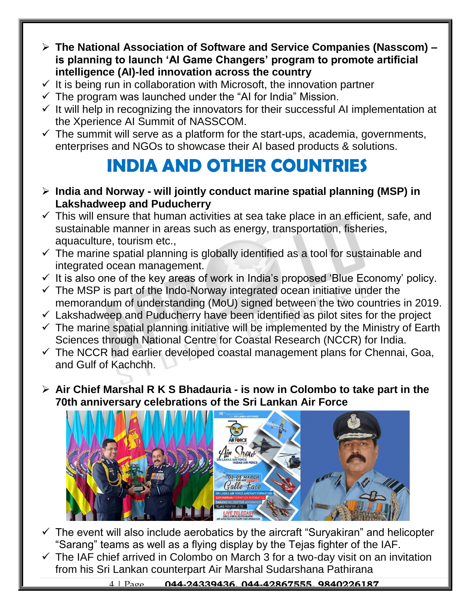- **The National Association of Software and Service Companies (Nasscom) – is planning to launch 'AI Game Changers' program to promote artificial intelligence (AI)-led innovation across the country**
- $\checkmark$  It is being run in collaboration with Microsoft, the innovation partner
- $\checkmark$  The program was launched under the "AI for India" Mission.
- $\checkmark$  It will help in recognizing the innovators for their successful AI implementation at the Xperience AI Summit of NASSCOM.
- $\checkmark$  The summit will serve as a platform for the start-ups, academia, governments, enterprises and NGOs to showcase their AI based products & solutions.

## **INDIA AND OTHER COUNTRIES**

- **India and Norway - will jointly conduct marine spatial planning (MSP) in Lakshadweep and Puducherry**
- $\checkmark$  This will ensure that human activities at sea take place in an efficient, safe, and sustainable manner in areas such as energy, transportation, fisheries, aquaculture, tourism etc.,
- $\checkmark$  The marine spatial planning is globally identified as a tool for sustainable and integrated ocean management.
- $\checkmark$  It is also one of the key areas of work in India's proposed 'Blue Economy' policy.
- $\checkmark$  The MSP is part of the Indo-Norway integrated ocean initiative under the memorandum of understanding (MoU) signed between the two countries in 2019.
- $\checkmark$  Lakshadweep and Puducherry have been identified as pilot sites for the project
- $\checkmark$  The marine spatial planning initiative will be implemented by the Ministry of Earth Sciences through National Centre for Coastal Research (NCCR) for India.
- $\checkmark$  The NCCR had earlier developed coastal management plans for Chennai, Goa, and Gulf of Kachchh.
- **Air Chief Marshal R K S Bhadauria - is now in Colombo to take part in the 70th anniversary celebrations of the Sri Lankan Air Force**



- $\checkmark$  The event will also include aerobatics by the aircraft "Suryakiran" and helicopter "Sarang" teams as well as a flying display by the Tejas fighter of the IAF.
- $\checkmark$  The IAF chief arrived in Colombo on March 3 for a two-day visit on an invitation from his Sri Lankan counterpart Air Marshal Sudarshana Pathirana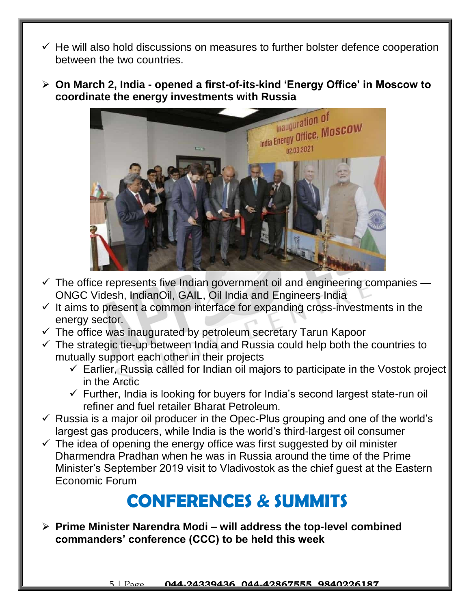- $\checkmark$  He will also hold discussions on measures to further bolster defence cooperation between the two countries.
- **On March 2, India - opened a first-of-its-kind 'Energy Office' in Moscow to coordinate the energy investments with Russia**



- $\checkmark$  The office represents five Indian government oil and engineering companies ONGC Videsh, IndianOil, GAIL, Oil India and Engineers India
- $\checkmark$  It aims to present a common interface for expanding cross-investments in the energy sector.
- $\checkmark$  The office was inaugurated by petroleum secretary Tarun Kapoor
- $\checkmark$  The strategic tie-up between India and Russia could help both the countries to mutually support each other in their projects
	- $\checkmark$  Earlier, Russia called for Indian oil majors to participate in the Vostok project in the Arctic
	- $\checkmark$  Further, India is looking for buyers for India's second largest state-run oil refiner and fuel retailer Bharat Petroleum.
- $\checkmark$  Russia is a major oil producer in the Opec-Plus grouping and one of the world's largest gas producers, while India is the world's third-largest oil consumer
- $\checkmark$  The idea of opening the energy office was first suggested by oil minister Dharmendra Pradhan when he was in Russia around the time of the Prime Minister's September 2019 visit to Vladivostok as the chief guest at the Eastern Economic Forum

### **CONFERENCES & SUMMITS**

 **Prime Minister Narendra Modi – will address the top-level combined commanders' conference (CCC) to be held this week**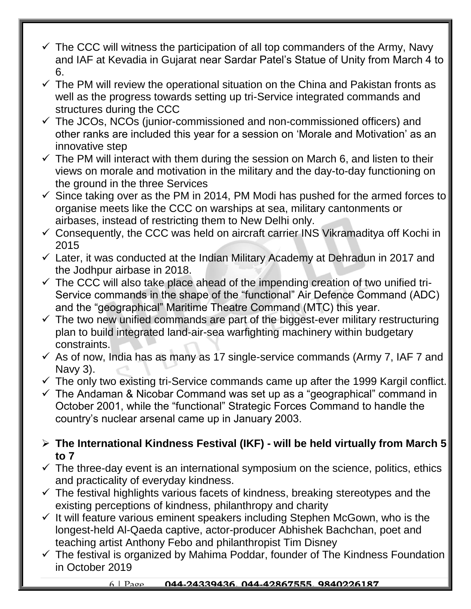- $\checkmark$  The CCC will witness the participation of all top commanders of the Army, Navy and IAF at Kevadia in Gujarat near Sardar Patel's Statue of Unity from March 4 to 6.
- $\checkmark$  The PM will review the operational situation on the China and Pakistan fronts as well as the progress towards setting up tri-Service integrated commands and structures during the CCC
- $\checkmark$  The JCOs, NCOs (junior-commissioned and non-commissioned officers) and other ranks are included this year for a session on 'Morale and Motivation' as an innovative step
- $\checkmark$  The PM will interact with them during the session on March 6, and listen to their views on morale and motivation in the military and the day-to-day functioning on the ground in the three Services
- $\checkmark$  Since taking over as the PM in 2014, PM Modi has pushed for the armed forces to organise meets like the CCC on warships at sea, military cantonments or airbases, instead of restricting them to New Delhi only.
- $\checkmark$  Consequently, the CCC was held on aircraft carrier INS Vikramaditya off Kochi in 2015
- $\checkmark$  Later, it was conducted at the Indian Military Academy at Dehradun in 2017 and the Jodhpur airbase in 2018.
- $\checkmark$  The CCC will also take place ahead of the impending creation of two unified tri-Service commands in the shape of the "functional" Air Defence Command (ADC) and the "geographical" Maritime Theatre Command (MTC) this year.
- $\checkmark$  The two new unified commands are part of the biggest-ever military restructuring plan to build integrated land-air-sea warfighting machinery within budgetary constraints.
- $\checkmark$  As of now, India has as many as 17 single-service commands (Army 7, IAF 7 and Navy 3).
- $\checkmark$  The only two existing tri-Service commands came up after the 1999 Kargil conflict.
- $\checkmark$  The Andaman & Nicobar Command was set up as a "geographical" command in October 2001, while the "functional" Strategic Forces Command to handle the country's nuclear arsenal came up in January 2003.
- **The International Kindness Festival (IKF) - will be held virtually from March 5 to 7**
- $\checkmark$  The three-day event is an international symposium on the science, politics, ethics and practicality of everyday kindness.
- $\checkmark$  The festival highlights various facets of kindness, breaking stereotypes and the existing perceptions of kindness, philanthropy and charity
- $\checkmark$  It will feature various eminent speakers including Stephen McGown, who is the longest-held Al-Qaeda captive, actor-producer Abhishek Bachchan, poet and teaching artist Anthony Febo and philanthropist Tim Disney
- $\checkmark$  The festival is organized by Mahima Poddar, founder of The Kindness Foundation in October 2019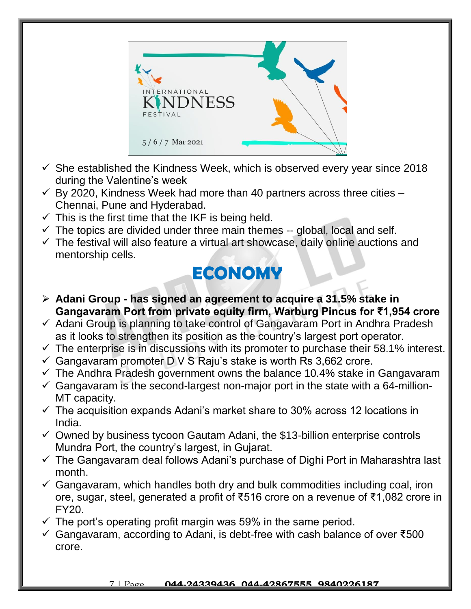

- $\checkmark$  She established the Kindness Week, which is observed every year since 2018 during the Valentine's week
- $\checkmark$  By 2020, Kindness Week had more than 40 partners across three cities -Chennai, Pune and Hyderabad.
- $\checkmark$  This is the first time that the IKF is being held.
- $\checkmark$  The topics are divided under three main themes -- global, local and self.
- $\checkmark$  The festival will also feature a virtual art showcase, daily online auctions and mentorship cells.

## **ECONOMY**

- **Adani Group - has signed an agreement to acquire a 31.5% stake in Gangavaram Port from private equity firm, Warburg Pincus for ₹1,954 crore**
- $\checkmark$  Adani Group is planning to take control of Gangavaram Port in Andhra Pradesh as it looks to strengthen its position as the country's largest port operator.
- $\checkmark$  The enterprise is in discussions with its promoter to purchase their 58.1% interest.
- $\checkmark$  Gangavaram promoter D V S Raju's stake is worth Rs 3,662 crore.
- $\checkmark$  The Andhra Pradesh government owns the balance 10.4% stake in Gangavaram
- $\checkmark$  Gangavaram is the second-largest non-major port in the state with a 64-million-MT capacity.
- $\checkmark$  The acquisition expands Adani's market share to 30% across 12 locations in India.
- $\checkmark$  Owned by business tycoon Gautam Adani, the \$13-billion enterprise controls Mundra Port, the country's largest, in Gujarat.
- $\checkmark$  The Gangavaram deal follows Adani's purchase of Dighi Port in Maharashtra last month.
- $\checkmark$  Gangavaram, which handles both dry and bulk commodities including coal, iron ore, sugar, steel, generated a profit of ₹516 crore on a revenue of ₹1,082 crore in FY20.
- $\checkmark$  The port's operating profit margin was 59% in the same period.
- Gangavaram, according to Adani, is debt-free with cash balance of over ₹500 crore.